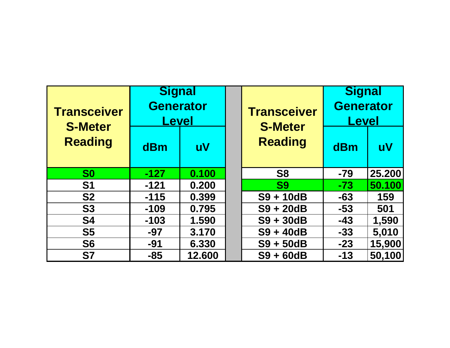| <b>Transceiver</b><br><b>S-Meter</b><br><b>Reading</b> | <b>Signal</b><br><b>Generator</b><br><u>Level</u> |              |  | <b>Transceiver</b><br><b>S-Meter</b> | <b>Signal</b><br><b>Generator</b><br><b>Level</b> |           |
|--------------------------------------------------------|---------------------------------------------------|--------------|--|--------------------------------------|---------------------------------------------------|-----------|
|                                                        | dBm                                               | $\mathbf{u}$ |  | <b>Reading</b>                       | dBm                                               | <b>uV</b> |
| S <sub>0</sub>                                         | $-127$                                            | 0.100        |  | S <sub>8</sub>                       | $-79$                                             | 25.200    |
| <b>S1</b>                                              | $-121$                                            | 0.200        |  | <b>S9</b>                            | $-73$                                             | 50.100    |
| <b>S2</b>                                              | $-115$                                            | 0.399        |  | $S9 + 10dB$                          | $-63$                                             | 159       |
| <b>S3</b>                                              | $-109$                                            | 0.795        |  | $S9 + 20dB$                          | $-53$                                             | 501       |
| <b>S4</b>                                              | $-103$                                            | 1.590        |  | $S9 + 30dB$                          | $-43$                                             | 1,590     |
| S <sub>5</sub>                                         | $-97$                                             | 3.170        |  | $S9 + 40dB$                          | $-33$                                             | 5,010     |
| <b>S6</b>                                              | $-91$                                             | 6.330        |  | $S9 + 50dB$                          | $-23$                                             | 15,900    |
| <b>S7</b>                                              | $-85$                                             | 12.600       |  | $S9 + 60dB$                          | $-13$                                             | 50,100    |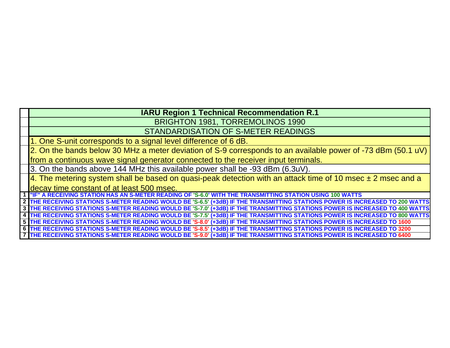## **IARU Region 1 Technical Recommendation R.1**

BRIGHTON 1981, TORREMOLINOS 1990

STANDARDISATION OF S-METER READINGS

1. One S-unit corresponds to a signal level difference of 6 dB.

2. On the bands below 30 MHz a meter deviation of S-9 corresponds to an available power of -73 dBm (50.1 uV)

from a continuous wave signal generator connected to the receiver input terminals.

3. On the bands above 144 MHz this available power shall be -93 dBm (6.3uV).

4. The metering system shall be based on quasi-peak detection with an attack time of 10 msec  $\pm$  2 msec and a decay time constant of at least 500 msec.

**1 A RECEIVING STATION HAS AN S-METER READING OF 'S-6.0' WITH THE TRANSMITTING STATION USING 100 WATTS** 

**2 3 4 5 6 7 THE RECEIVING STATIONS S-METER READING WOULD BE 'S-8.5' (+3dB) IF THE TRANSMITTING STATIONS POWER IS INCREASED TO 3200 THE RECEIVING STATIONS S-METER READING WOULD BE 'S-9.0' (+3dB) IF THE TRANSMITTING STATIONS POWER IS INCREASED TO 6400 THE RECEIVING STATIONS S-METER READING WOULD BE 'S-6.5' (+3dB) IF THE TRANSMITTING STATIONS POWER IS INCREASED TO 200 WATTS THE RECEIVING STATIONS S-METER READING WOULD BE 'S-7.0' (+3dB) IF THE TRANSMITTING STATIONS POWER IS INCREASED TO 400 WATTS THE RECEIVING STATIONS S-METER READING WOULD BE 'S-7.5' (+3dB) IF THE TRANSMITTING STATIONS POWER IS INCREASED TO 800 WATTS THE RECEIVING STATIONS S-METER READING WOULD BE 'S-8.0' (+3dB) IF THE TRANSMITTING STATIONS POWER IS INCREASED TO 1600**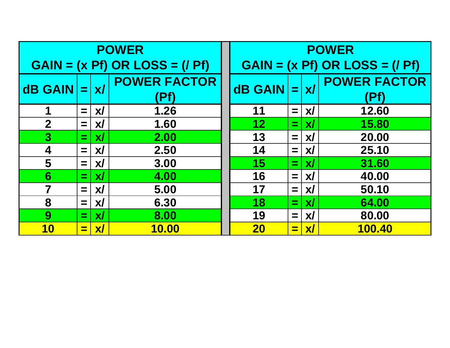| <b>POWER</b>                    |                    |                             | <b>POWER</b>                    |                |                |                             |                             |
|---------------------------------|--------------------|-----------------------------|---------------------------------|----------------|----------------|-----------------------------|-----------------------------|
| $GAIN = (x Pf) OR LOS = (f Pf)$ |                    |                             | $GAIN = (x Pf) OR LOS = (f Pf)$ |                |                |                             |                             |
| <b>dB GAIN</b>                  | $=$                | $\mathbf{X}$                | <b>POWER FACTOR</b>             | <b>dB GAIN</b> |                | $=$ $x/$                    | <b>POWER FACTOR</b><br>(Pf) |
|                                 | $=$ $\overline{ }$ | $\boldsymbol{\mathsf{x}}$ / | 1.26                            | 11             | $=$            | $\boldsymbol{\mathsf{X}}$   | 12.60                       |
| $\mathbf{2}$                    | $=$                | $\boldsymbol{X}$            | 1.60                            | 12             | $=$            | $\mathbf{X}$                | 15.80                       |
| $\overline{\mathbf{3}}$         | =                  | $\boldsymbol{\mathsf{x}}$ / | 2.00                            | 13             | $=$            | $\boldsymbol{\mathsf{x}}$ / | 20.00                       |
| $\boldsymbol{4}$                | $=$                | $\mathbf{x}$                | 2.50                            | 14             | $=$            | $\boldsymbol{X}$            | 25.10                       |
| 5                               | $=$                | <b>XI</b>                   | 3.00                            | 15             | $=$            | $\mathbf{X}$                | 31.60                       |
| 6                               | $=$                | $\mathbf{x}$                | 4.00                            | 16             | $=$            | $\boldsymbol{\mathsf{x}}$ / | 40.00                       |
|                                 | $=$                | $\mathbf{X}$                | 5.00                            | 17             | $=$            | $\boldsymbol{\mathsf{x}}$ / | 50.10                       |
| 8                               | $=$                | $\boldsymbol{\mathsf{x}}$ / | 6.30                            | 18             | $=$            | $\boldsymbol{\mathsf{X}}$   | 64.00                       |
| 9                               | =                  | $\mathbf{X}$                | 8.00                            | 19             | $=$            | $\boldsymbol{\mathsf{x}}$   | 80.00                       |
| <b>10</b>                       | e                  | $\boldsymbol{X}$ /          | <b>10.00</b>                    | <b>20</b>      | $\blacksquare$ | $\boldsymbol{X}$            | 100.40                      |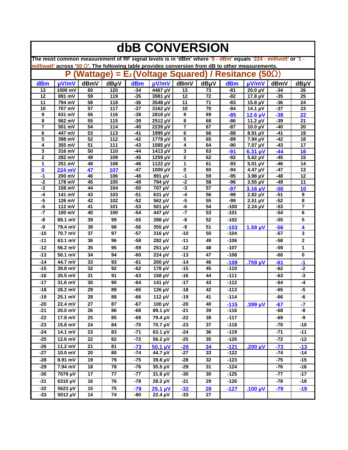| dbB CONVERSION                                                                                                                                                                                                  |                     |                 |            |                |                                  |                |          |                  |                              |                |                       |
|-----------------------------------------------------------------------------------------------------------------------------------------------------------------------------------------------------------------|---------------------|-----------------|------------|----------------|----------------------------------|----------------|----------|------------------|------------------------------|----------------|-----------------------|
| The most common measurement of RF signal levels is in 'dBm' where '0 - dBm' equals '224 - millivolt' or '1 -<br>milliwatt' across '50 W. The following table provides conversion from dB to other measurements. |                     |                 |            |                |                                  |                |          |                  |                              |                |                       |
| (Wattage) = $E_2$ (Voltage Squared) / Resitance (50 <b>W)</b><br>P                                                                                                                                              |                     |                 |            |                |                                  |                |          |                  |                              |                |                       |
| dBm                                                                                                                                                                                                             | µV/mV               | dBmV            | dBµV       | dBm            | µV/mV                            | dBmV           | dBµV     | dBm              | $\mu$ V/mV                   | dBmV           | dBµV                  |
| 13                                                                                                                                                                                                              | 1000 mV             | 60              | 120        | $-34$          | 4467 µV                          | 13             | 73       | $-81$            | $20.0 \mu V$                 | $-34$          | 26                    |
| 12                                                                                                                                                                                                              | 891 mV              | 59              | 119        | $-35$          | 3981 µV                          | 12             | 72       | $-82$            | $17.8 \mu V$                 | $-35$          | $\overline{25}$       |
| 11                                                                                                                                                                                                              | 794 mV              | 58              | 118        | $-36$          | 3548 µV                          | 11             | 71       | $-83$            | $15.8 \mu V$                 | $-36$          | 24                    |
| 10                                                                                                                                                                                                              | 707 mV              | 57              | 117        | $-37$          | 3162 µV                          | 10             | 70       | -84              | 14.1 $\mu$ V                 | $-37$          | 23                    |
| 9<br>8                                                                                                                                                                                                          | 631 mV<br>562 mV    | 56<br>55        | 116<br>115 | $-38$<br>$-39$ | 2818 µV<br>2512 µV               | 9<br>8         | 69<br>68 | $-85$<br>$-86$   | $12.6 \mu V$<br>11.2 $\mu$ V | $-38$<br>$-39$ | 22<br>21              |
| 7                                                                                                                                                                                                               | 501 mV              | 54              | 114        | $-40$          | 2239 µV                          | $\overline{7}$ | 67       | $-87$            | 10.0 $\mu$ V                 | $-40$          | 20                    |
| 6                                                                                                                                                                                                               | $\overline{447}$ mV | 53              | 113        | $-41$          | 1995 µV                          | 6              | 66       | -88              | 8.91 µV                      | $-41$          | 19                    |
| 5                                                                                                                                                                                                               | 398 mV              | 52              | 112        | $-42$          | 1778 µV                          | 5              | 65       | -89              | $\overline{7}$ .94 µV        | $-42$          | 18                    |
| 4                                                                                                                                                                                                               | 355 mV              | 51              | 111        | $-43$          | 1585 µV                          | 4              | 64       | -90              | 7.07 µV                      | -43            | 17                    |
| 3                                                                                                                                                                                                               | 316 mV              | 50              | 110        | $-44$          | 1413 µV                          | 3              | 63       | $-91$            | $6.31 \mu V$                 | $-44$          | 16                    |
| $\mathbf{2}$                                                                                                                                                                                                    | 282 mV              | 49              | 109        | $-45$          | 1259 µV                          | $\mathbf{2}$   | 62       | $-92$            | $\overline{5.62}$ µV         | $-45$          | 15                    |
| 1                                                                                                                                                                                                               | 251 mV              | 48              | 108        | $-46$          | $1122 \mu V$                     | 1              | 61       | $-93$            | $5.01 \mu V$                 | $-46$          | 14                    |
| $\bf{0}$                                                                                                                                                                                                        | 224 mV              | 47              | 107        | $-47$          | 1000 µV                          | 0              | 60       | -94              | 4.47 µV                      | $-47$          | 13                    |
| -1<br>$-2$                                                                                                                                                                                                      | 200 mV              | 46<br>45        | 106<br>105 | $-48$<br>$-49$ | 891 µV                           | -1<br>$-2$     | 59<br>58 | $-95$<br>$-96$   | 3.98 µV<br>3.55 µV           | $-48$<br>$-49$ | 12<br>$\overline{11}$ |
| -3                                                                                                                                                                                                              | 178 mV<br>158 mV    | 44              | 104        | $-50$          | 794 µV<br>$\overline{7}07 \mu V$ | $-3$           | 57       | $-97$            | $3.16 \mu V$                 | $-50$          | 10                    |
| -4                                                                                                                                                                                                              | 141 mV              | 43              | 103        | $-51$          | 631 µV                           | $-4$           | 56       | -98              | $2.82 \mu V$                 | $-51$          | $\boldsymbol{9}$      |
| -5                                                                                                                                                                                                              | 126 mV              | 42              | 102        | $-52$          | 562 µV                           | $-5$           | 55       | -99              | $2.51 \mu V$                 | $-52$          | 8                     |
| -6                                                                                                                                                                                                              | 112 mV              | 41              | 101        | $-53$          | 501 µV                           | -6             | 54       | $-100$           | $2.24 \mu V$                 | $-53$          | 7                     |
| -7                                                                                                                                                                                                              | 100 mV              | 40              | 100        | $-54$          | 447 µV                           | $-7$           | 53       | $-101$           |                              | $-54$          | 6                     |
| -8                                                                                                                                                                                                              | 89.1 mV             | 39              | 99         | $-55$          | 398 µV                           | -8             | 52       | $-102$           |                              | $-55$          | 5                     |
| -9                                                                                                                                                                                                              | 79.4 mV             | 38              | 98         | $-56$          | 355 µV                           | -9             | 51       | $-103$           | $1.59 \mu V$                 | $-56$          | 4                     |
| $-10$                                                                                                                                                                                                           | 70.7 mV             | 37              | 97         | $-57$          | 316 µV                           | $-10$          | 50       | $-104$           |                              | $-57$          | 3                     |
| $-11$                                                                                                                                                                                                           | 63.1 mV             | 36              | 96         | -58            | 282 µV                           | $-11$          | 49       | $-106$           |                              | -58            | $\mathbf 2$           |
| $-12$                                                                                                                                                                                                           | 56.2 mV             | 35              | 95         | $-59$          | 251 µV                           | $-12$          | 48       | $-107$           |                              | $-59$          | 1                     |
| $-13$                                                                                                                                                                                                           | 50.1 mV             | 34              | 94         | -60            | 224 µV                           | $-13$          | 47       | $-108$           |                              | -60            | $\bf{0}$              |
| $-14$                                                                                                                                                                                                           | 44.7 mV             | 33              | 93         | $-61$          | 200 µV                           | $-14$          | 46       | $-109$           | .759 µV                      | $-61$          | $-1$                  |
| $-15$                                                                                                                                                                                                           | 39.8 mV             | 32              | 92         | $-62$          | 178 µV                           | $-15$          | 45       | $-110$           |                              | $-62$          | $-2$                  |
| $-16$                                                                                                                                                                                                           | 35.5 mV             | 31              | 91         | $-63$          | 158 µV                           | $-16$          | 44       | $-111$           |                              | $-63$          | -3                    |
| $-17$                                                                                                                                                                                                           | 31.6 mV             | 30              | 90         | $-64$          | 141 µV                           | $-17$          | 43       | $-112$           |                              | $-64$          | $-4$                  |
| $-18$                                                                                                                                                                                                           | 28.2 mV             | 29              | 89         | $-65$          | 126 µV                           | $-18$          | 42       | $-113$           |                              | $-65$          | $-5$                  |
| $-19$                                                                                                                                                                                                           | 25.1 mV             | 28              | 88         | -66            | $112 \mu V$                      | $-19$          | 41       | $-114$           |                              | -66            | -6                    |
| $-20$                                                                                                                                                                                                           | 22.4 mV             | 27              | 87         | $-67$          | 100 µV                           | $-20$          | 40       | $-115$           | $.399 \mu V$                 | $-67$          | $-7$                  |
| $-21$                                                                                                                                                                                                           | 20.0 mV             | 26              | 86         | -68            | $\overline{89.1}$ µV             | $-21$          | 39       | $-116$           |                              | -68            | -8                    |
| $-22$                                                                                                                                                                                                           | 17.8 mV             | 25              | 85         | $-69$          | 79.4 µV                          | $-22$          | 38       | $-117$           |                              | -69            | -9                    |
| $-23$                                                                                                                                                                                                           | 15.8 mV             | 24              | 84         | $-70$          | $70.7 \mu V$                     | $-23$          | 37       | $-118$           |                              | $-70$          | $-10$                 |
| $-24$                                                                                                                                                                                                           | $14.1 \text{ mV}$   | 23              | 83         | $-71$          | $63.1 \mu V$                     | $-24$          | 36       | $-119$           |                              | $-71$          | $-11$                 |
| $-25$                                                                                                                                                                                                           | 12.6 mV             | $\overline{22}$ | 82         | $-72$          | 56.2 µV                          | $-25$          | 35       | $-120$           |                              | $-72$          | $-12$                 |
| $-26$                                                                                                                                                                                                           | 11.2 mV             | 21              | 81         |                |                                  |                |          |                  |                              |                |                       |
| $-27$                                                                                                                                                                                                           | 10.0 mV             | 20              | 80         | $-73$<br>$-74$ | $50.1 \mu V$<br>44.7 µV          | $-26$<br>$-27$ | 34<br>33 | $-121$<br>$-122$ | .200 $\mu$ V                 | $-73$<br>$-74$ | $-13$<br>$-14$        |
| $-28$                                                                                                                                                                                                           | 8.91 mV             | 19              | 79         | $-75$          |                                  |                |          |                  |                              | $-75$          | $-15$                 |
|                                                                                                                                                                                                                 |                     |                 |            |                | 39.8 µV                          | $-28$          | 32       | $-123$           |                              |                |                       |
| $-29$                                                                                                                                                                                                           | 7.94 mV             | 18              | 78         | $-76$          | 35.5 µV                          | -29            | 31       | $-124$           |                              | $-76$          | $-16$                 |
| $-30$                                                                                                                                                                                                           | 7079 µV             | 17              | 77         | $-77$          | 31.6 µV                          | $-30$          | 30       | $-125$           |                              | $-77$          | $-17$                 |
| $-31$                                                                                                                                                                                                           | 6310 µV             | 16              | 76         | $-78$          | 28.2 µV                          | $-31$          | 29       | $-126$           |                              | $-78$          | $-18$                 |
| $-32$                                                                                                                                                                                                           | 5623 µV             | 15              | 75         | $-79$          | $25.1 \mu V$                     | $-32$          | 28       | $-127$           | .100 $\mu$ V                 | $-79$          | $-19$                 |
| $-33$                                                                                                                                                                                                           | 5012 µV             | 14              | 74         | -80            | 22.4 µV                          | $-33$          | 27       |                  |                              |                |                       |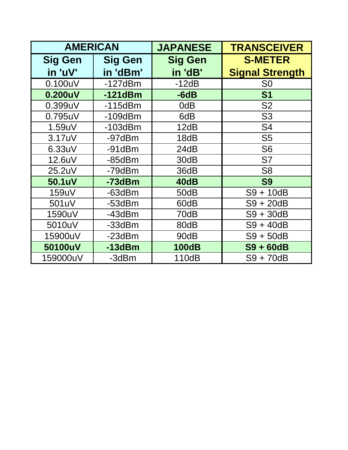| <b>AMERICAN</b> |                | <b>JAPANESE</b> | <b>TRANSCEIVER</b>     |
|-----------------|----------------|-----------------|------------------------|
| <b>Sig Gen</b>  | <b>Sig Gen</b> | <b>Sig Gen</b>  | <b>S-METER</b>         |
| in 'uV'         | in 'dBm'       | in 'dB'         | <b>Signal Strength</b> |
| 0.100uV         | $-127dBm$      | $-12dB$         | S <sub>0</sub>         |
| 0.200uV         | $-121dBm$      | $-6dB$          | <b>S1</b>              |
| 0.399uV         | $-115dBm$      | 0dB             | S <sub>2</sub>         |
| 0.795uV         | $-109$ d $Bm$  | 6dB             | S <sub>3</sub>         |
| 1.59uV          | $-103$ d $Bm$  | 12dB            | S <sub>4</sub>         |
| 3.17uV          | -97dBm         | 18dB            | S <sub>5</sub>         |
| 6.33uV          | $-91dBm$       | 24dB            | S <sub>6</sub>         |
| 12.6uV          | $-85dBm$       | 30dB            | S7                     |
| 25.2uV          | $-79dBm$       | 36dB            | S <sub>8</sub>         |
| 50.1uV          | -73dBm         | 40dB            | <b>S9</b>              |
| 159uV           | $-63dBm$       | 50dB            | $S9 + 10dB$            |
| 501uV           | $-53dBm$       | 60dB            | $S9 + 20dB$            |
| 1590uV          | $-43dBm$       | 70dB            | $S9 + 30dB$            |
| 5010uV          | $-33dBm$       | 80dB            | $S9 + 40dB$            |
| 15900uV         | $-23dBm$       | 90dB            | $S9 + 50dB$            |
| 50100uV         | $-13dBm$       | <b>100dB</b>    | S9 + 60dB              |
| 159000uV        | -3dBm          | 110dB           | S9 + 70dB              |